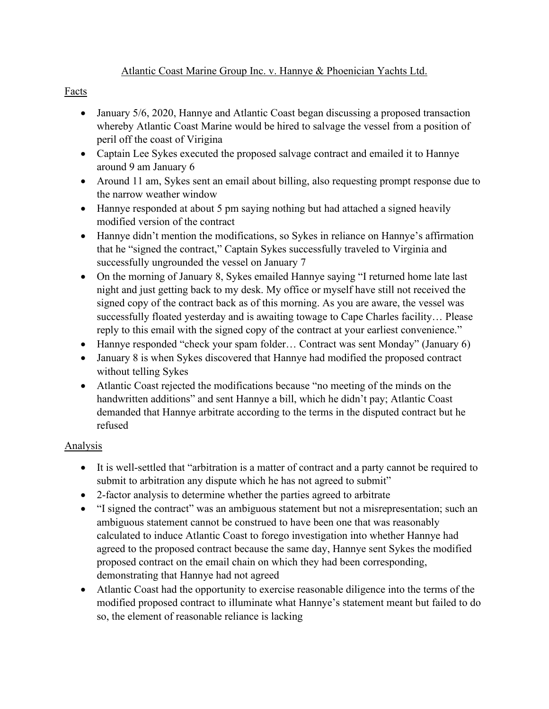## Atlantic Coast Marine Group Inc. v. Hannye & Phoenician Yachts Ltd.

## Facts

- January 5/6, 2020, Hannye and Atlantic Coast began discussing a proposed transaction whereby Atlantic Coast Marine would be hired to salvage the vessel from a position of peril off the coast of Virigina
- Captain Lee Sykes executed the proposed salvage contract and emailed it to Hannye around 9 am January 6
- Around 11 am, Sykes sent an email about billing, also requesting prompt response due to the narrow weather window
- Hannye responded at about 5 pm saying nothing but had attached a signed heavily modified version of the contract
- Hannye didn't mention the modifications, so Sykes in reliance on Hannye's affirmation that he "signed the contract," Captain Sykes successfully traveled to Virginia and successfully ungrounded the vessel on January 7
- On the morning of January 8, Sykes emailed Hannye saying "I returned home late last night and just getting back to my desk. My office or myself have still not received the signed copy of the contract back as of this morning. As you are aware, the vessel was successfully floated yesterday and is awaiting towage to Cape Charles facility… Please reply to this email with the signed copy of the contract at your earliest convenience."
- Hannye responded "check your spam folder... Contract was sent Monday" (January 6)
- January 8 is when Sykes discovered that Hannye had modified the proposed contract without telling Sykes
- Atlantic Coast rejected the modifications because "no meeting of the minds on the handwritten additions" and sent Hannye a bill, which he didn't pay; Atlantic Coast demanded that Hannye arbitrate according to the terms in the disputed contract but he refused

# Analysis

- It is well-settled that "arbitration is a matter of contract and a party cannot be required to submit to arbitration any dispute which he has not agreed to submit"
- 2-factor analysis to determine whether the parties agreed to arbitrate
- "I signed the contract" was an ambiguous statement but not a misrepresentation; such an ambiguous statement cannot be construed to have been one that was reasonably calculated to induce Atlantic Coast to forego investigation into whether Hannye had agreed to the proposed contract because the same day, Hannye sent Sykes the modified proposed contract on the email chain on which they had been corresponding, demonstrating that Hannye had not agreed
- Atlantic Coast had the opportunity to exercise reasonable diligence into the terms of the modified proposed contract to illuminate what Hannye's statement meant but failed to do so, the element of reasonable reliance is lacking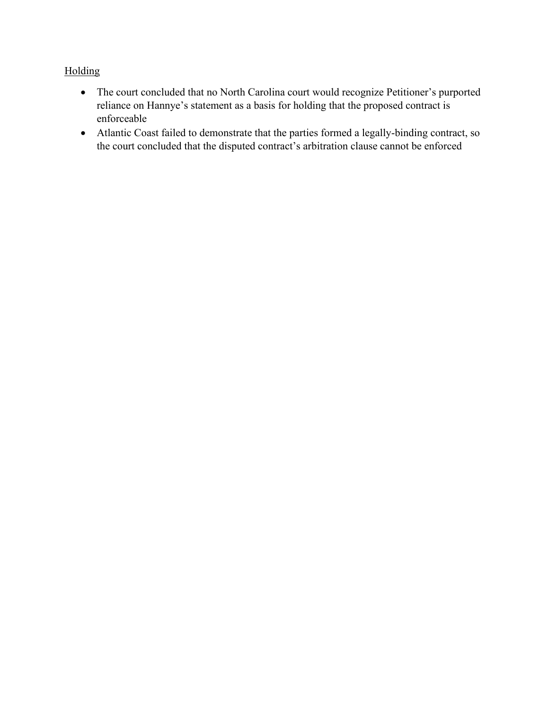# Holding

- The court concluded that no North Carolina court would recognize Petitioner's purported reliance on Hannye's statement as a basis for holding that the proposed contract is enforceable
- Atlantic Coast failed to demonstrate that the parties formed a legally-binding contract, so the court concluded that the disputed contract's arbitration clause cannot be enforced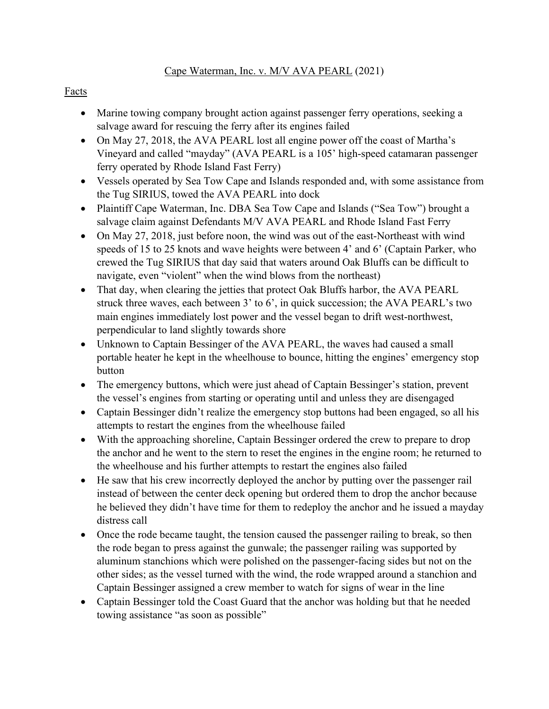#### Facts

- Marine towing company brought action against passenger ferry operations, seeking a salvage award for rescuing the ferry after its engines failed
- On May 27, 2018, the AVA PEARL lost all engine power off the coast of Martha's Vineyard and called "mayday" (AVA PEARL is a 105' high-speed catamaran passenger ferry operated by Rhode Island Fast Ferry)
- Vessels operated by Sea Tow Cape and Islands responded and, with some assistance from the Tug SIRIUS, towed the AVA PEARL into dock
- Plaintiff Cape Waterman, Inc. DBA Sea Tow Cape and Islands ("Sea Tow") brought a salvage claim against Defendants M/V AVA PEARL and Rhode Island Fast Ferry
- On May 27, 2018, just before noon, the wind was out of the east-Northeast with wind speeds of 15 to 25 knots and wave heights were between 4' and 6' (Captain Parker, who crewed the Tug SIRIUS that day said that waters around Oak Bluffs can be difficult to navigate, even "violent" when the wind blows from the northeast)
- That day, when clearing the jetties that protect Oak Bluffs harbor, the AVA PEARL struck three waves, each between 3' to 6', in quick succession; the AVA PEARL's two main engines immediately lost power and the vessel began to drift west-northwest, perpendicular to land slightly towards shore
- Unknown to Captain Bessinger of the AVA PEARL, the waves had caused a small portable heater he kept in the wheelhouse to bounce, hitting the engines' emergency stop button
- The emergency buttons, which were just ahead of Captain Bessinger's station, prevent the vessel's engines from starting or operating until and unless they are disengaged
- Captain Bessinger didn't realize the emergency stop buttons had been engaged, so all his attempts to restart the engines from the wheelhouse failed
- With the approaching shoreline, Captain Bessinger ordered the crew to prepare to drop the anchor and he went to the stern to reset the engines in the engine room; he returned to the wheelhouse and his further attempts to restart the engines also failed
- He saw that his crew incorrectly deployed the anchor by putting over the passenger rail instead of between the center deck opening but ordered them to drop the anchor because he believed they didn't have time for them to redeploy the anchor and he issued a mayday distress call
- Once the rode became taught, the tension caused the passenger railing to break, so then the rode began to press against the gunwale; the passenger railing was supported by aluminum stanchions which were polished on the passenger-facing sides but not on the other sides; as the vessel turned with the wind, the rode wrapped around a stanchion and Captain Bessinger assigned a crew member to watch for signs of wear in the line
- Captain Bessinger told the Coast Guard that the anchor was holding but that he needed towing assistance "as soon as possible"